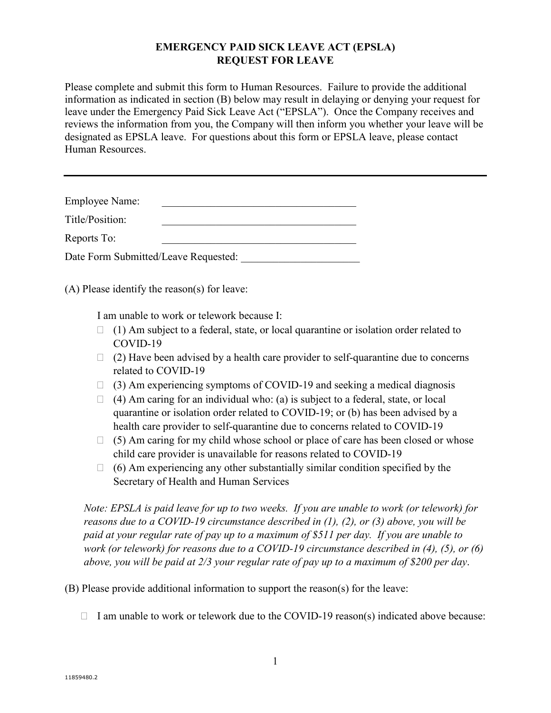## **EMERGENCY PAID SICK LEAVE ACT (EPSLA) REQUEST FOR LEAVE**

Please complete and submit this form to Human Resources. Failure to provide the additional information as indicated in section (B) below may result in delaying or denying your request for leave under the Emergency Paid Sick Leave Act ("EPSLA"). Once the Company receives and reviews the information from you, the Company will then inform you whether your leave will be designated as EPSLA leave. For questions about this form or EPSLA leave, please contact Human Resources.

| <b>Employee Name:</b>                |  |  |
|--------------------------------------|--|--|
| Title/Position:                      |  |  |
| Reports To:                          |  |  |
| Date Form Submitted/Leave Requested: |  |  |

(A) Please identify the reason(s) for leave:

I am unable to work or telework because I:

- $\Box$  (1) Am subject to a federal, state, or local quarantine or isolation order related to COVID-19
- $\Box$  (2) Have been advised by a health care provider to self-quarantine due to concerns related to COVID-19
- $\Box$  (3) Am experiencing symptoms of COVID-19 and seeking a medical diagnosis
- $\Box$  (4) Am caring for an individual who: (a) is subject to a federal, state, or local quarantine or isolation order related to COVID-19; or (b) has been advised by a health care provider to self-quarantine due to concerns related to COVID-19
- $\Box$  (5) Am caring for my child whose school or place of care has been closed or whose child care provider is unavailable for reasons related to COVID-19
- $\Box$  (6) Am experiencing any other substantially similar condition specified by the Secretary of Health and Human Services

*Note: EPSLA is paid leave for up to two weeks. If you are unable to work (or telework) for reasons due to a COVID-19 circumstance described in (1), (2), or (3) above, you will be paid at your regular rate of pay up to a maximum of \$511 per day. If you are unable to work (or telework) for reasons due to a COVID-19 circumstance described in (4), (5), or (6) above, you will be paid at 2/3 your regular rate of pay up to a maximum of \$200 per day*.

(B) Please provide additional information to support the reason(s) for the leave:

 $\Box$  I am unable to work or telework due to the COVID-19 reason(s) indicated above because: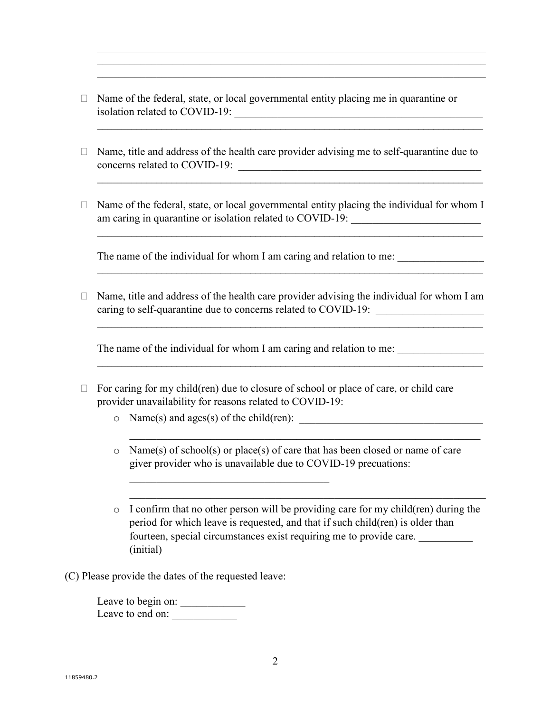$\Box$  Name of the federal, state, or local governmental entity placing me in quarantine or isolation related to COVID-19: \_\_\_\_\_\_\_\_\_\_\_\_\_\_\_\_\_\_\_\_\_\_\_\_\_\_\_\_\_\_\_\_\_\_\_\_\_\_\_\_\_\_\_\_\_\_

 $\mathcal{L}_\text{G}$  , and the contribution of the contribution of the contribution of the contribution of the contribution of the contribution of the contribution of the contribution of the contribution of the contribution of t  $\mathcal{L}_\text{G}$  , and the contribution of the contribution of the contribution of the contribution of the contribution of the contribution of the contribution of the contribution of the contribution of the contribution of t

 $\mathcal{L}_\text{max}$  and  $\mathcal{L}_\text{max}$  and  $\mathcal{L}_\text{max}$  and  $\mathcal{L}_\text{max}$  and  $\mathcal{L}_\text{max}$  and  $\mathcal{L}_\text{max}$ 

 $\mathcal{L}_\text{max}$  and  $\mathcal{L}_\text{max}$  and  $\mathcal{L}_\text{max}$  and  $\mathcal{L}_\text{max}$  and  $\mathcal{L}_\text{max}$  and  $\mathcal{L}_\text{max}$ 

\_\_\_\_\_\_\_\_\_\_\_\_\_\_\_\_\_\_\_\_\_\_\_\_\_\_\_\_\_\_\_\_\_\_\_\_\_\_\_\_\_\_\_\_\_\_\_\_\_\_\_\_\_\_\_\_\_\_\_\_\_\_\_\_\_\_\_\_\_\_\_\_\_\_\_\_\_\_

 $\mathcal{L}_\text{max}$  and  $\mathcal{L}_\text{max}$  and  $\mathcal{L}_\text{max}$  and  $\mathcal{L}_\text{max}$  and  $\mathcal{L}_\text{max}$  and  $\mathcal{L}_\text{max}$ 

 $\mathcal{L}_\text{max}$  , and the contribution of the contribution of the contribution of the contribution of the contribution of

 $\mathcal{L}_\text{max}$  and  $\mathcal{L}_\text{max}$  and  $\mathcal{L}_\text{max}$  and  $\mathcal{L}_\text{max}$  and  $\mathcal{L}_\text{max}$  and  $\mathcal{L}_\text{max}$ 

- $\Box$  Name, title and address of the health care provider advising me to self-quarantine due to concerns related to COVID-19:
- $\Box$  Name of the federal, state, or local governmental entity placing the individual for whom I am caring in quarantine or isolation related to COVID-19:

The name of the individual for whom I am caring and relation to me:

 $\Box$  Name, title and address of the health care provider advising the individual for whom I am caring to self-quarantine due to concerns related to COVID-19:

The name of the individual for whom I am caring and relation to me:

- $\Box$  For caring for my child(ren) due to closure of school or place of care, or child care provider unavailability for reasons related to COVID-19:
	- o Name(s) and ages(s) of the child(ren): \_\_\_\_\_\_\_\_\_\_\_\_\_\_\_\_\_\_\_\_\_\_\_\_\_\_\_\_\_\_\_\_\_\_
	- o Name(s) of school(s) or place(s) of care that has been closed or name of care giver provider who is unavailable due to COVID-19 precuations:

\_\_\_\_\_\_\_\_\_\_\_\_\_\_\_\_\_\_\_\_\_\_\_\_\_\_\_\_\_\_\_\_\_\_\_\_\_\_\_\_\_\_\_\_\_\_\_\_\_\_\_\_\_\_\_\_\_\_\_\_\_\_\_\_\_

- $\circ$  I confirm that no other person will be providing care for my child(ren) during the period for which leave is requested, and that if such child(ren) is older than fourteen, special circumstances exist requiring me to provide care. \_\_\_\_\_\_\_\_\_\_ (initial)
- (C) Please provide the dates of the requested leave:

Leave to begin on: Leave to end on: